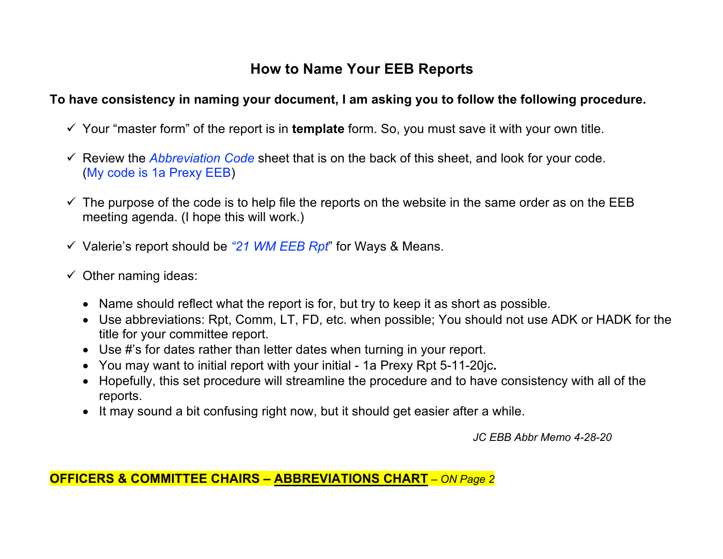## **How to Name Your EEB Reports**

## **To have consistency in naming your document, I am asking you to follow the following procedure.**

- ü Your "master form" of the report is in **template** form. So, you must save it with your own title.
- $\checkmark$  Review the *Abbreviation Code* sheet that is on the back of this sheet, and look for your code. (My code is 1a Prexy EEB)
- $\checkmark$  The purpose of the code is to help file the reports on the website in the same order as on the EEB meeting agenda. (I hope this will work.)
- ü Valerie's report should be *"21 WM EEB Rpt*" for Ways & Means.
- $\checkmark$  Other naming ideas:
	- Name should reflect what the report is for, but try to keep it as short as possible.
	- Use abbreviations: Rpt, Comm, LT, FD, etc. when possible; You should not use ADK or HADK for the title for your committee report.
	- Use #'s for dates rather than letter dates when turning in your report.
	- You may want to initial report with your initial 1a Prexy Rpt 5-11-20jc**.**
	- Hopefully, this set procedure will streamline the procedure and to have consistency with all of the reports.
	- It may sound a bit confusing right now, but it should get easier after a while.

*JC EBB Abbr Memo 4-28-20*

**OFFICERS & COMMITTEE CHAIRS – ABBREVIATIONS CHART** *– ON Page 2*